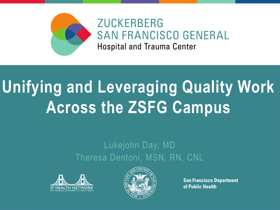

### **ZUCKERBERG SAN FRANCISCO GENERAL Hospital and Trauma Center**

# **Unifying and Leveraging Quality Work Across the ZSFG Campus**

#### Lukejohn Day, MD Theresa Dentoni, MSN, RN, CNL





**San Francisco Department** of Public Health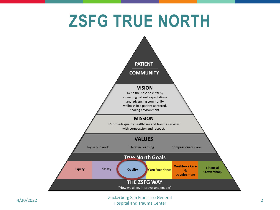## **ZSFG TRUE NORTH**

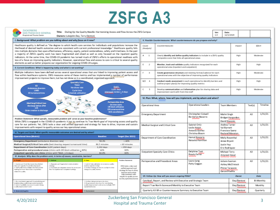## **ZSFG A3**

| ZUCKERBERG<br>Title: Dialing Up the Quality Needle: Harmonizing Access and Flow Across the ZSFG Campus.<br>SAN FRANCISCO GENERAL<br>Hospital and Trauma Center<br>Owners: Lukejohn Day, Terry Dentoni                                                                                                                                                                                                                   |                                                                                                                                                                                             |                                                                                                                                                                           |                                                                                                                                                |                                                                            | 'Ver:<br>1.0                                                                                                                           | Date:<br>12/1/2020                                                 |             |                                                                                  |                                       |          |              |
|-------------------------------------------------------------------------------------------------------------------------------------------------------------------------------------------------------------------------------------------------------------------------------------------------------------------------------------------------------------------------------------------------------------------------|---------------------------------------------------------------------------------------------------------------------------------------------------------------------------------------------|---------------------------------------------------------------------------------------------------------------------------------------------------------------------------|------------------------------------------------------------------------------------------------------------------------------------------------|----------------------------------------------------------------------------|----------------------------------------------------------------------------------------------------------------------------------------|--------------------------------------------------------------------|-------------|----------------------------------------------------------------------------------|---------------------------------------|----------|--------------|
| I. Bockground: What problem are you talking about and why focus on it now?                                                                                                                                                                                                                                                                                                                                              |                                                                                                                                                                                             |                                                                                                                                                                           |                                                                                                                                                |                                                                            | V. Passible Countermeasures: What countermeasures do you propose and why?                                                              |                                                                    |             |                                                                                  |                                       |          |              |
| Healthcare quality is defined as "the degree to which health care services for individuals and populations increase the<br>likelihood of desired health outcomes and are consistent with current professional knowledge." Healthcare quality falls<br>into multiple domains than span effectiveness, efficiency, equity, patient centeredness, safety and timeliness. In the past                                       |                                                                                                                                                                                             |                                                                                                                                                                           |                                                                                                                                                | Couse<br>(Acatrak)                                                         | Countermeasure                                                                                                                         |                                                                    |             |                                                                                  | <b><i><u>Impact</u></i></b><br>ETSart |          |              |
| a majority of ZSFG's quality work has been fragmented and sloed as well as only focused on the inpatient quality<br>indicators. At the same time, the COVID-19 pandemic has turned much of ZSFG's efforts to operational readiness with<br>less of a focus on improving quality indicators. However, operational flow and access to care is critical to several quality                                                 |                                                                                                                                                                                             |                                                                                                                                                                           |                                                                                                                                                | $A = 1$                                                                    | Clearly identify and define quality indicators to include in a ZSFG quality<br>composite score that links all operational areas        |                                                                    |             |                                                                                  | High                                  | Moderate |              |
| elements as well as better prepares our organization for ongoing COVID-19 surges.<br>il. Current Canditions: What is happening today and what is not working?                                                                                                                                                                                                                                                           |                                                                                                                                                                                             |                                                                                                                                                                           |                                                                                                                                                | п.<br>$\mathbb{Z}$                                                         | Monitor, track and validate quality indicators recognized for each<br>operational area (inpatient and outputient)                      |                                                                    |             | High                                                                             | High                                  |          |              |
| Multiple indicators have been defined across several operational areas that are linked to improving patient access and<br>flow within healthcare systems. ZSFG measures some of these metrics and has implemented a number of performance<br>improvement projects to improve them, but has not done so in a coordinated, organized approach."                                                                           |                                                                                                                                                                                             |                                                                                                                                                                           |                                                                                                                                                | c.<br>- 38                                                                 | Create governance structure and meeting format/cadence for each<br>operational area with the objective of improving quality indicators |                                                                    |             |                                                                                  | High                                  | Moderate |              |
| Specialty Care<br><b>TNAA</b><br>$\mathbf{D}$<br><b>DeCC</b><br>No-show rate<br>Antisulanza divension<br><b>LLOC days</b><br><b>Cycle time</b><br><b>LWEE</b><br>inglengual mechanic 3 diago.<br>ED turnaround time<br>Schedule utilization                                                                                                                                                                             |                                                                                                                                                                                             |                                                                                                                                                                           |                                                                                                                                                | 8/0 4                                                                      | Conduct needs assessment in each operational to identify barriers and<br>outline project plan(s) for improving quality metrics         |                                                                    |             |                                                                                  | High                                  | High     |              |
|                                                                                                                                                                                                                                                                                                                                                                                                                         |                                                                                                                                                                                             |                                                                                                                                                                           |                                                                                                                                                | c<br>-51                                                                   | Develop communication and information plan for sharing data and<br>That enl-institutely from inverse in                                |                                                                    |             |                                                                                  | High                                  | Moderate |              |
| Perioperative Area                                                                                                                                                                                                                                                                                                                                                                                                      |                                                                                                                                                                                             |                                                                                                                                                                           |                                                                                                                                                |                                                                            | VI. Plan: What, where, how will you implement, and by whom and when?                                                                   |                                                                    |             |                                                                                  |                                       |          |              |
| Med-Surg/Oritical Care<br><b>Co-time starts</b><br>Discharge before 2PM<br>OR block utilization<br>LCS.<br><b>ORturnaroundtime</b><br><b>Order creation to-discharge</b><br>DOS-cancellations<br>Problem Statement: What specific, measurable problem will serve as your baseline performance?<br>While ZSFG is engaged in the COVID-19 pandemic it has to continue its True North goal of improving access and quality |                                                                                                                                                                                             |                                                                                                                                                                           |                                                                                                                                                | Operational Area                                                           |                                                                                                                                        | Operational Leaders                                                |             | Team Members                                                                     |                                       | Tool(s)  | Timeline     |
|                                                                                                                                                                                                                                                                                                                                                                                                                         |                                                                                                                                                                                             |                                                                                                                                                                           |                                                                                                                                                | Emergency Department                                                       |                                                                                                                                        | Christopher Colwell<br>Be-Verlyn Navarro                           |             | Malini Singh<br>Bridget Harparden<br>David Staconis                              |                                       | AЗ       | 1/31/21      |
| care for our patients. Yet, 2SFG lacks a clear and unified approach and strategy for how to drive, improve and sustain<br>improvements with respect to quality across our key operational areas.<br>III. Targets and Goals: What specific measurable outcomes are desired and by when?                                                                                                                                  |                                                                                                                                                                                             |                                                                                                                                                                           |                                                                                                                                                | Medical-Surgical and Critical Care                                         |                                                                                                                                        | Gabriel Ortiz<br>Leslie Holpit<br>Antonio Gomez<br>Christina Bloom |             | Andrea Turner<br>Val Burnett<br>Francisco Saenz<br><b>Reviand Manatan</b>        |                                       | AЗ       | 1/31/21      |
| Operational Area (Metric)<br><b>Bacoline</b><br><b>Target (Dec 2021)</b><br>Emergency Department (ambulance diversion rate)<br>58.3%<br>$< 40\%$<br>Medical-Surgical/Critical Care units (bed cleaning request turnaround time)<br><b>BG.5 minutes</b><br>< 60 minutes<br>Department of Care Coordination  LLDC patient days)<br>1.192 days:<br>< 950 days                                                              |                                                                                                                                                                                             |                                                                                                                                                                           | Hemal Kanzaria<br>Department of Care Coordination<br>Natasha Hamilton                                                                          |                                                                            |                                                                                                                                        | Molly Rosenthal<br>Jenee Bryant<br>Justin Yep<br>Eric Rodriguez    |             | AЗ                                                                               | 1/31/21                               |          |              |
| Perioperative and procedural areas (clinics with OR block utilization > 80%)<br>60%<br>90%<br>90%<br>Outpatient specialty care clinics (clinics with TNAA < 21 days)<br>B4.1P5<br>IV. Analysis: Why does the problem exist, in terms of causes, constraints, barriers?                                                                                                                                                  |                                                                                                                                                                                             |                                                                                                                                                                           |                                                                                                                                                | Outpatient Specialty Care Clinics                                          |                                                                                                                                        | Delphine Tupt<br><b>Rosaly Ferrer</b><br>بالربال بالربال           |             | Michael Terry<br>Ampreet Gosal<br>وبالوبالوبالوبة ابوبالوبالوبالوبالوبالوبا      |                                       | AЗ       | 1/31/21      |
| A. Paspin<br>Literatury and fourt-line teams have limited<br>time and reparity for additional projects<br>3. Ital <sup>y</sup> pulled into multiple deertime (multi-<br>tudäing and maud sikus sisine na princitios.<br>related to quality                                                                                                                                                                              | <b>C. Blothad</b><br>. Disparate and fragmente incorporativation<br><b>Challenge</b><br>2. Universide analoligeasake delenis for annota anal<br>firm For impatient and subpatient settings. | E. Date:<br>), Lack of clate validation on europeean quality<br>matrins reported in Epic<br>2. Unclose disalogs or how to use Epic to drive<br>change on quality metrics. | Position Nationals<br>2996 locks a clear and<br>unified approach and<br>strategy for how to drive.<br>improve and oustain<br>improvements with | Perioperative and Procedural Areas                                         |                                                                                                                                        | Laura Lang<br>Patty Coggan                                         |             | Juliann Susman<br>Ashley McClintock<br>Phiroz Tarapore<br><b>Concept Company</b> |                                       | AЗ       | 1/31/21      |
|                                                                                                                                                                                                                                                                                                                                                                                                                         |                                                                                                                                                                                             |                                                                                                                                                                           | respect to quality across.<br>our key specificatel areas:                                                                                      | VII. Fallow-Up: How will you assure angaing PDSA?                          |                                                                                                                                        |                                                                    |             |                                                                                  | <b>Owner</b>                          |          | <b>D'ote</b> |
| 1. Not consolidad and approval this point Wolng and<br>implementing rocality improvement projects                                                                                                                                                                                                                                                                                                                       |                                                                                                                                                                                             | ). Uzelear data groenwere deurkee<br>3. He provenance doubless for constituting                                                                                           |                                                                                                                                                | Catchball, Report, and Review with Executive and Strategic Team            |                                                                                                                                        |                                                                    |             |                                                                                  | Day/Dentoni                           |          | Bi-Monthly   |
| 3. Sank of available conneces to analyticking<br>THE delivery and a material and the property officers<br>cuality importants of the c<br>spendingal areas                                                                                                                                                                                                                                                               |                                                                                                                                                                                             |                                                                                                                                                                           | Report True North Scorecard Monthly to Executive Team                                                                                          |                                                                            |                                                                                                                                        |                                                                    | Day/Dentoni |                                                                                  | Monthly                               |          |              |
| <b>B. Materials/Espains</b>                                                                                                                                                                                                                                                                                                                                                                                             | <b>E. Exploration</b>                                                                                                                                                                       | F. Bruiteanmani                                                                                                                                                           |                                                                                                                                                | Quarterly A3-SR or Countermeasure Summary to Executive Team<br>Day/Dentoni |                                                                                                                                        |                                                                    |             | Quarterly                                                                        |                                       |          |              |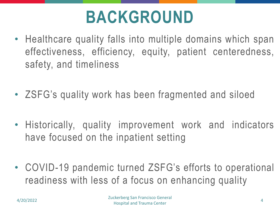## **BACKGROUND**

- Healthcare quality falls into multiple domains which span effectiveness, efficiency, equity, patient centeredness, safety, and timeliness
- ZSFG's quality work has been fragmented and siloed
- Historically, quality improvement work and indicators have focused on the inpatient setting
- COVID-19 pandemic turned ZSFG's efforts to operational readiness with less of a focus on enhancing quality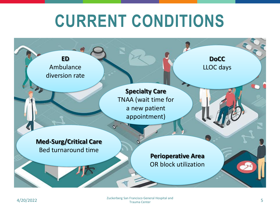## **CURRENT CONDITIONS**

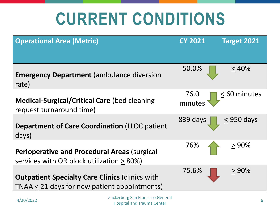## **CURRENT CONDITIONS**

| <b>Operational Area (Metric)</b>                                                                       | <b>CY 2021</b>                                                        | Target 2021  |
|--------------------------------------------------------------------------------------------------------|-----------------------------------------------------------------------|--------------|
|                                                                                                        |                                                                       |              |
| <b>Emergency Department (ambulance diversion</b><br>rate)                                              | 50.0%                                                                 | $< 40\%$     |
| <b>Medical-Surgical/Critical Care (bed cleaning</b><br>request turnaround time)                        | 76.0<br>minutes                                                       | < 60 minutes |
| <b>Department of Care Coordination (LLOC patient</b><br>days)                                          | 839 days                                                              | < 950 days   |
| <b>Perioperative and Procedural Areas (surgical)</b><br>services with OR block utilization > 80%)      | 76%                                                                   | $>90\%$      |
| <b>Outpatient Specialty Care Clinics (clinics with</b><br>TNAA < 21 days for new patient appointments) | 75.6%                                                                 | $> 90\%$     |
| 4/20/2022                                                                                              | Zuckerberg San Francisco General<br><b>Hospital and Trauma Center</b> | 6            |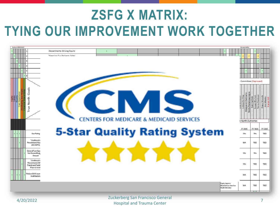## **ZSFG X MATRIX: TYING OUR IMPROVEMENT WORK TOGETHER**

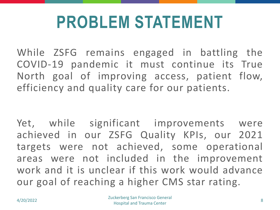## **PROBLEM STATEMENT**

While ZSFG remains engaged in battling the COVID-19 pandemic it must continue its True North goal of improving access, patient flow, efficiency and quality care for our patients.

Yet, while significant improvements were achieved in our ZSFG Quality KPIs, our 2021 targets were not achieved, some operational areas were not included in the improvement work and it is unclear if this work would advance our goal of reaching a higher CMS star rating.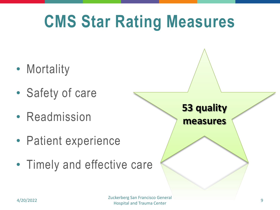## **CMS Star Rating Measures**

- Mortality
- Safety of care
- Readmission
- Patient experience
- Timely and effective care

**53 quality measures**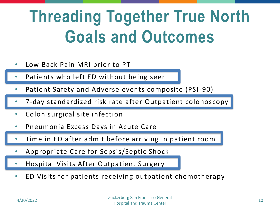## **Threading Together True North Goals and Outcomes**

- Low Back Pain MRI prior to PT
- Patients who left ED without being seen
- Patient Safety and Adverse events composite (PSI-90)
- 7-day standardized risk rate after Outpatient colonoscopy
- Colon surgical site infection
- Pneumonia Excess Days in Acute Care
- Time in ED after admit before arriving in patient room
- Appropriate Care for Sepsis/Septic Shock
- Hospital Visits After Outpatient Surgery
- ED Visits for patients receiving outpatient chemotherapy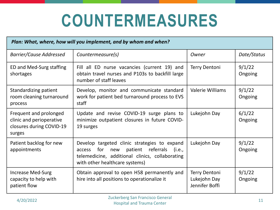## **COUNTERMEASURES**

| Plan: What, where, how will you implement, and by whom and when?                         |                                                                                                                                                                                             |                                                 |                   |  |  |  |  |
|------------------------------------------------------------------------------------------|---------------------------------------------------------------------------------------------------------------------------------------------------------------------------------------------|-------------------------------------------------|-------------------|--|--|--|--|
| <b>Barrier/Cause Addressed</b>                                                           | Countermeasure(s)                                                                                                                                                                           | Owner                                           | Date/Status       |  |  |  |  |
| ED and Med-Surg staffing<br>shortages                                                    | Fill all ED nurse vacancies (current 19) and<br>obtain travel nurses and P103s to backfill large<br>number of staff leaves                                                                  | <b>Terry Dentoni</b>                            | 9/1/22<br>Ongoing |  |  |  |  |
| Standardizing patient<br>room cleaning turnaround<br>process                             | Develop, monitor and communicate standard<br>work for patient bed turnaround process to EVS<br>staff                                                                                        | <b>Valerie Williams</b>                         | 9/1/22<br>Ongoing |  |  |  |  |
| Frequent and prolonged<br>clinic and perioperative<br>closures during COVID-19<br>surges | Update and revise COVID-19 surge plans to<br>minimize outpatient closures in future COVID-<br>19 surges                                                                                     | Lukejohn Day                                    | 6/1/22<br>Ongoing |  |  |  |  |
| Patient backlog for new<br>appointments                                                  | Develop targeted clinic strategies to expand<br>for<br>patient<br>referrals<br>(i.e.,<br>access<br>new<br>telemedicine, additional clinics, collaborating<br>with other healthcare systems) | Lukejohn Day                                    | 9/1/22<br>Ongoing |  |  |  |  |
| <b>Increase Med-Surg</b><br>capacity to help with<br>patient flow                        | Obtain approval to open H58 permanently and<br>hire into all positions to operationalize it                                                                                                 | Terry Dentoni<br>Lukejohn Day<br>Jennifer Boffi | 9/1/22<br>Ongoing |  |  |  |  |
| Zuekarberg Can Erangicse Canaral                                                         |                                                                                                                                                                                             |                                                 |                   |  |  |  |  |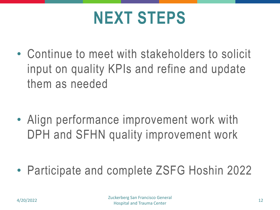## **NEXT STEPS**

• Continue to meet with stakeholders to solicit input on quality KPIs and refine and update them as needed

• Align performance improvement work with DPH and SFHN quality improvement work

• Participate and complete ZSFG Hoshin 2022